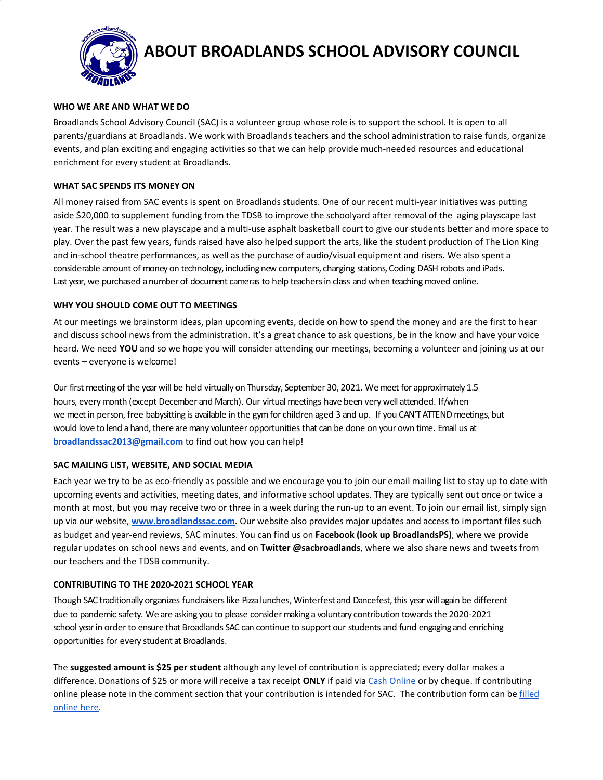

## **ABOUT BROADLANDS SCHOOL ADVISORY COUNCIL**

#### **WHO WE ARE AND WHAT WE DO**

Broadlands School Advisory Council (SAC) is a volunteer group whose role is to support the school. It is open to all parents/guardians at Broadlands. We work with Broadlands teachers and the school administration to raise funds, organize events, and plan exciting and engaging activities so that we can help provide much-needed resources and educational enrichment for every student at Broadlands.

#### **WHAT SAC SPENDS ITS MONEY ON**

All money raised from SAC events is spent on Broadlands students. One of our recent multi-year initiatives was putting aside \$20,000 to supplement funding from the TDSB to improve the schoolyard after removal of the aging playscape last year. The result was a new playscape and a multi-use asphalt basketball court to give our students better and more space to play. Over the past few years, funds raised have also helped support the arts, like the student production of The Lion King and in-school theatre performances, as well as the purchase of audio/visual equipment and risers. We also spent a considerable amount of money on technology, including new computers, charging stations, Coding DASH robots and iPads. Last year, we purchased a number of document cameras to help teachers in class and when teaching moved online.

#### **WHY YOU SHOULD COME OUT TO MEETINGS**

At our meetings we brainstorm ideas, plan upcoming events, decide on how to spend the money and are the first to hear and discuss school news from the administration. It's a great chance to ask questions, be in the know and have your voice heard. We need **YOU** and so we hope you will consider attending our meetings, becoming a volunteer and joining us at our events – everyone is welcome!

**[broadlandssac2013@gmail.com](mailto:broadlandssac2013@gmail.com)** to find out how you can help! Our first meeting of the year will be held virtually on Thursday, September 30, 2021. We meet for approximately 1.5 hours, everymonth (except December and March). Our virtual meetings have been very well attended. If/when we meet in person, free babysitting is available in the gym for children aged 3 and up. If you CAN'TATTEND meetings, but would love to lend a hand, there are many volunteer opportunities that can be done on your own time. Email us at

#### **SAC MAILING LIST, WEBSITE, AND SOCIAL MEDIA**

Each year we try to be as eco-friendly as possible and we encourage you to join our email mailing list to stay up to date with upcoming events and activities, meeting dates, and informative school updates. They are typically sent out once or twice a month at most, but you may receive two or three in a week during the run-up to an event. To join our email list, simply sign up via our website, **[www.broadlandssac.com](http://www.broadlandssac.com/).** Our website also provides major updates and access to important files such as budget and year-end reviews, SAC minutes. You can find us on **Facebook (look up BroadlandsPS)**, where we provide regular updates on school news and events, and on **Twitter @sacbroadlands**, where we also share news and tweets from our teachers and the TDSB community.

#### **CONTRIBUTING TO THE 2020-2021 SCHOOL YEAR**

Though SAC traditionally organizes fundraisers like Pizza lunches, Winterfest and Dancefest, this year will again be different due to pandemic safety. We are asking you to please consider making a voluntary contribution towards the 2020-2021 school year in order to ensure that Broadlands SAC can continue to support our students and fund engaging and enriching opportunities for every student at Broadlands.

The **suggested amount is \$25 per student** although any level of contribution is appreciated; every dollar makes a difference. Donations of \$25 or more will receive a tax receipt **ONLY** if paid via Cash [Online](https://tdsb.schoolcashonline.com/Home/SignIn) or by cheque. If contributing online please note in the comment section that your contribution is intended for SAC. The contribution form can be [filled](https://forms.gle/BQewieVuXbV6D6gE7) [online](https://forms.gle/BQewieVuXbV6D6gE7) here.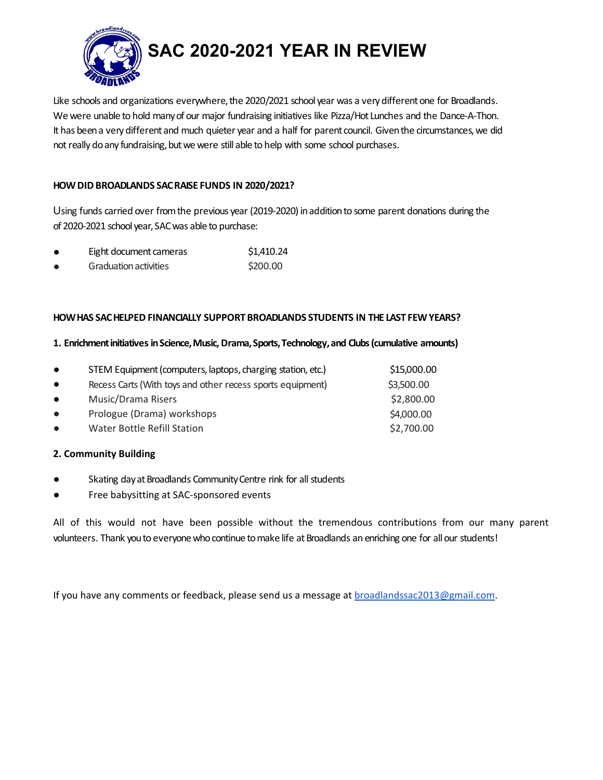

# **SAC 2020-2021 YEAR IN REVIEW**

Like schools and organizations everywhere, the 2020/2021 school year was a very different one for Broadlands. We were unable to hold manyof our major fundraising initiatives like Pizza/Hot Lunches and the Dance-A-Thon. It has been a very different and much quieter year and a half for parent council. Given the circumstances, we did not really do any fundraising, but we were still able to help with some school purchases.

#### **HOW DID BROADLANDS SACRAISE FUNDS IN 2020/2021?**

Using funds carried over fromthe previous year (2019-2020) inadditionto some parent donations during the of 2020-2021 school year, SAC was able to purchase:

- Eight document cameras \$1,410.24
- **。** Graduation activities  $$200.00$

#### **HOWHAS SACHELPED FINANCIALLY SUPPORT BROADLANDS STUDENTS IN THE LAST FEW YEARS?**

#### **1. Enrichmentinitiatives inScience,Music, Drama,Sports,Technology,and Clubs (cumulative amounts)**

| $\bullet$ | STEM Equipment (computers, laptops, charging station, etc.) | \$15,000.00 |
|-----------|-------------------------------------------------------------|-------------|
| $\bullet$ | Recess Carts (With toys and other recess sports equipment)  | \$3,500.00  |
| $\bullet$ | Music/Drama Risers                                          | \$2,800.00  |
| $\bullet$ | Prologue (Drama) workshops                                  | \$4,000.00  |
| $\bullet$ | Water Bottle Refill Station                                 | \$2,700.00  |

## **2. Community Building**

- Skating day at Broadlands Community Centre rink for all students
- Free babysitting at SAC-sponsored events

All of this would not have been possible without the tremendous contributions from our many parent volunteers. Thank you to everyone who continue to make life at Broadlands an enriching one for all our students!

If you have any comments or feedback, please send us a message at **[broadlandssac2013@gmail.com](mailto:broadlandssac2013@gmail.com)**.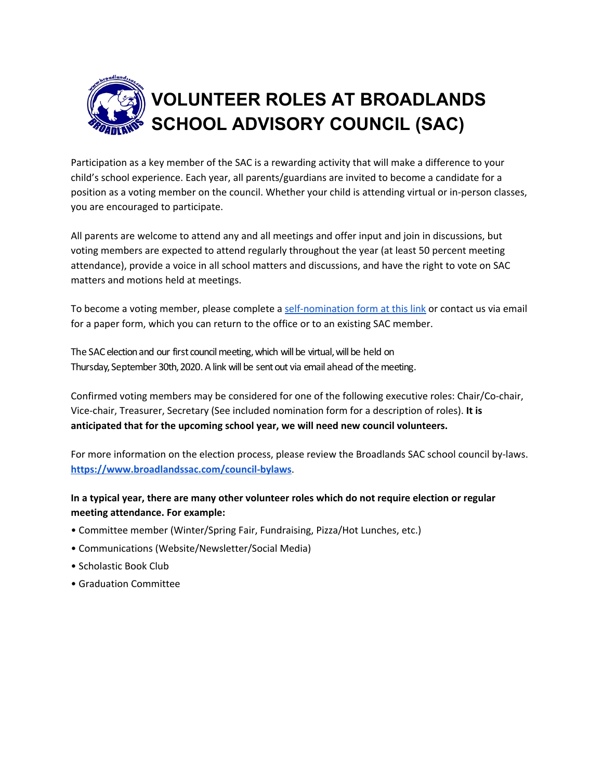

Participation as a key member of the SAC is a rewarding activity that will make a difference to your child's school experience. Each year, all parents/guardians are invited to become a candidate for a position as a voting member on the council. Whether your child is attending virtual or in-person classes, you are encouraged to participate.

All parents are welcome to attend any and all meetings and offer input and join in discussions, but voting members are expected to attend regularly throughout the year (at least 50 percent meeting attendance), provide a voice in all school matters and discussions, and have the right to vote on SAC matters and motions held at meetings.

To become a voting member, please complete a [self-nomination](https://forms.gle/91YsBMRxDkMKKeot7) form at this link or contact us via email for a paper form, which you can return to the office or to an existing SAC member.

The SAC election and our first council meeting, which will be virtual, will be held on Thursday, September 30th, 2020. A link will be sent out via email ahead of the meeting.

Confirmed voting members may be considered for one of the following executive roles: Chair/Co-chair, Vice-chair, Treasurer, Secretary (See included nomination form for a description of roles). **It is anticipated that for the upcoming school year, we will need new council volunteers.**

For more information on the election process, please review the Broadlands SAC school council by-laws. **<https://www.broadlandssac.com/council-bylaws>**.

## **In a typical year, there are many other volunteer roles which do not require election or regular meeting attendance. For example:**

- Committee member (Winter/Spring Fair, Fundraising, Pizza/Hot Lunches, etc.)
- Communications (Website/Newsletter/Social Media)
- Scholastic Book Club
- Graduation Committee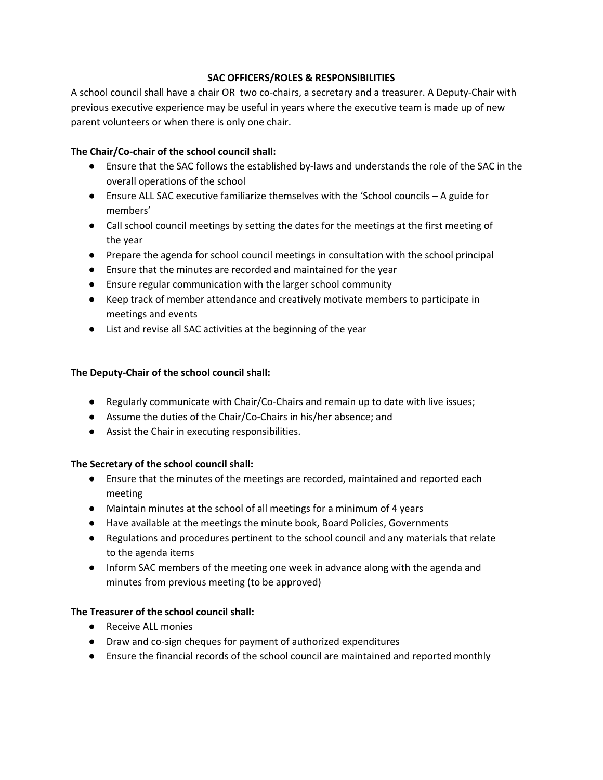#### **SAC OFFICERS/ROLES & RESPONSIBILITIES**

A school council shall have a chair OR two co-chairs, a secretary and a treasurer. A Deputy-Chair with previous executive experience may be useful in years where the executive team is made up of new parent volunteers or when there is only one chair.

#### **The Chair/Co-chair of the school council shall:**

- Ensure that the SAC follows the established by-laws and understands the role of the SAC in the overall operations of the school
- Ensure ALL SAC executive familiarize themselves with the 'School councils A guide for members'
- Call school council meetings by setting the dates for the meetings at the first meeting of the year
- Prepare the agenda for school council meetings in consultation with the school principal
- Ensure that the minutes are recorded and maintained for the year
- Ensure regular communication with the larger school community
- Keep track of member attendance and creatively motivate members to participate in meetings and events
- List and revise all SAC activities at the beginning of the year

## **The Deputy-Chair of the school council shall:**

- Regularly communicate with Chair/Co-Chairs and remain up to date with live issues;
- Assume the duties of the Chair/Co-Chairs in his/her absence; and
- Assist the Chair in executing responsibilities.

## **The Secretary of the school council shall:**

- Ensure that the minutes of the meetings are recorded, maintained and reported each meeting
- Maintain minutes at the school of all meetings for a minimum of 4 years
- Have available at the meetings the minute book, Board Policies, Governments
- Regulations and procedures pertinent to the school council and any materials that relate to the agenda items
- Inform SAC members of the meeting one week in advance along with the agenda and minutes from previous meeting (to be approved)

## **The Treasurer of the school council shall:**

- Receive ALL monies
- Draw and co-sign cheques for payment of authorized expenditures
- Ensure the financial records of the school council are maintained and reported monthly